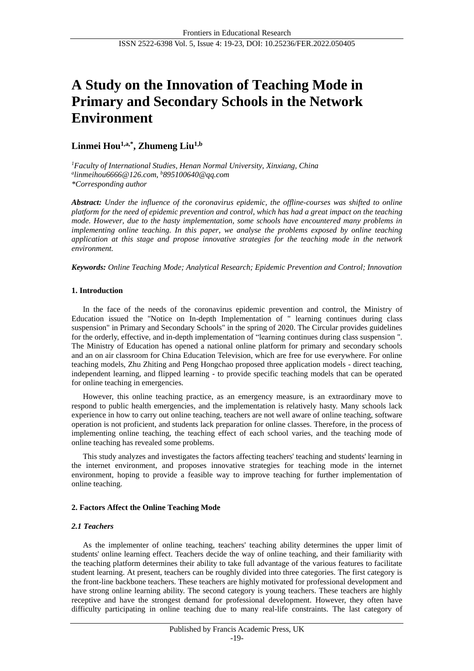# **A Study on the Innovation of Teaching Mode in Primary and Secondary Schools in the Network Environment**

## **Linmei Hou1,a,\* , Zhumeng Liu1,b**

*<sup>1</sup>Faculty of International Studies, Henan Normal University, Xinxiang, China a [linmeihou6666@126.com,](mailto:linmeihou6666@126.com) <sup>b</sup>895100640@qq.com \*Corresponding author*

*Abstract: Under the influence of the coronavirus epidemic, the offline-courses was shifted to online platform for the need of epidemic prevention and control, which has had a great impact on the teaching mode. However, due to the hasty implementation, some schools have encountered many problems in implementing online teaching. In this paper, we analyse the problems exposed by online teaching application at this stage and propose innovative strategies for the teaching mode in the network environment.*

*Keywords: Online Teaching Mode; Analytical Research; Epidemic Prevention and Control; Innovation*

## **1. Introduction**

In the face of the needs of the coronavirus epidemic prevention and control, the Ministry of Education issued the "Notice on In-depth Implementation of " learning continues during class suspension" in Primary and Secondary Schools" in the spring of 2020. The Circular provides guidelines for the orderly, effective, and in-depth implementation of "learning continues during class suspension ". The Ministry of Education has opened a national online platform for primary and secondary schools and an on air classroom for China Education Television, which are free for use everywhere. For online teaching models, Zhu Zhiting and Peng Hongchao proposed three application models - direct teaching, independent learning, and flipped learning - to provide specific teaching models that can be operated for online teaching in emergencies.

However, this online teaching practice, as an emergency measure, is an extraordinary move to respond to public health emergencies, and the implementation is relatively hasty. Many schools lack experience in how to carry out online teaching, teachers are not well aware of online teaching, software operation is not proficient, and students lack preparation for online classes. Therefore, in the process of implementing online teaching, the teaching effect of each school varies, and the teaching mode of online teaching has revealed some problems.

This study analyzes and investigates the factors affecting teachers' teaching and students' learning in the internet environment, and proposes innovative strategies for teaching mode in the internet environment, hoping to provide a feasible way to improve teaching for further implementation of online teaching.

## **2. Factors Affect the Online Teaching Mode**

## *2.1 Teachers*

As the implementer of online teaching, teachers' teaching ability determines the upper limit of students' online learning effect. Teachers decide the way of online teaching, and their familiarity with the teaching platform determines their ability to take full advantage of the various features to facilitate student learning. At present, teachers can be roughly divided into three categories. The first category is the front-line backbone teachers. These teachers are highly motivated for professional development and have strong online learning ability. The second category is young teachers. These teachers are highly receptive and have the strongest demand for professional development. However, they often have difficulty participating in online teaching due to many real-life constraints. The last category of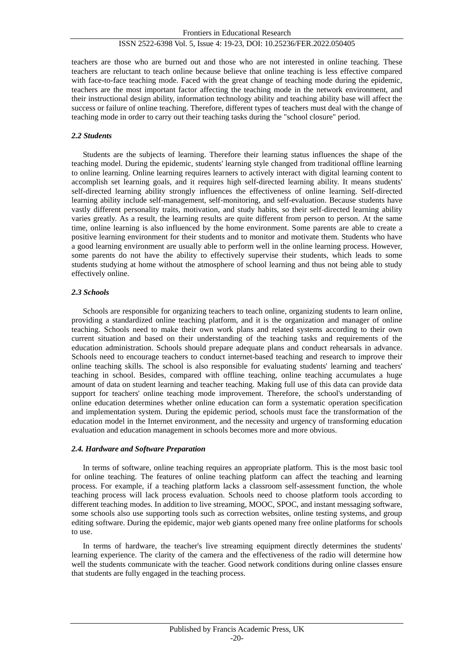teachers are those who are burned out and those who are not interested in online teaching. These teachers are reluctant to teach online because believe that online teaching is less effective compared with face-to-face teaching mode. Faced with the great change of teaching mode during the epidemic, teachers are the most important factor affecting the teaching mode in the network environment, and their instructional design ability, information technology ability and teaching ability base will affect the success or failure of online teaching. Therefore, different types of teachers must deal with the change of teaching mode in order to carry out their teaching tasks during the "school closure" period.

#### *2.2 Students*

Students are the subjects of learning. Therefore their learning status influences the shape of the teaching model. During the epidemic, students' learning style changed from traditional offline learning to online learning. Online learning requires learners to actively interact with digital learning content to accomplish set learning goals, and it requires high self-directed learning ability. It means students' self-directed learning ability strongly influences the effectiveness of online learning. Self-directed learning ability include self-management, self-monitoring, and self-evaluation. Because students have vastly different personality traits, motivation, and study habits, so their self-directed learning ability varies greatly. As a result, the learning results are quite different from person to person. At the same time, online learning is also influenced by the home environment. Some parents are able to create a positive learning environment for their students and to monitor and motivate them. Students who have a good learning environment are usually able to perform well in the online learning process. However, some parents do not have the ability to effectively supervise their students, which leads to some students studying at home without the atmosphere of school learning and thus not being able to study effectively online.

#### *2.3 Schools*

Schools are responsible for organizing teachers to teach online, organizing students to learn online, providing a standardized online teaching platform, and it is the organization and manager of online teaching. Schools need to make their own work plans and related systems according to their own current situation and based on their understanding of the teaching tasks and requirements of the education administration. Schools should prepare adequate plans and conduct rehearsals in advance. Schools need to encourage teachers to conduct internet-based teaching and research to improve their online teaching skills. The school is also responsible for evaluating students' learning and teachers' teaching in school. Besides, compared with offline teaching, online teaching accumulates a huge amount of data on student learning and teacher teaching. Making full use of this data can provide data support for teachers' online teaching mode improvement. Therefore, the school's understanding of online education determines whether online education can form a systematic operation specification and implementation system. During the epidemic period, schools must face the transformation of the education model in the Internet environment, and the necessity and urgency of transforming education evaluation and education management in schools becomes more and more obvious.

#### *2.4. Hardware and Software Preparation*

In terms of software, online teaching requires an appropriate platform. This is the most basic tool for online teaching. The features of online teaching platform can affect the teaching and learning process. For example, if a teaching platform lacks a classroom self-assessment function, the whole teaching process will lack process evaluation. Schools need to choose platform tools according to different teaching modes. In addition to live streaming, MOOC, SPOC, and instant messaging software, some schools also use supporting tools such as correction websites, online testing systems, and group editing software. During the epidemic, major web giants opened many free online platforms for schools to use.

In terms of hardware, the teacher's live streaming equipment directly determines the students' learning experience. The clarity of the camera and the effectiveness of the radio will determine how well the students communicate with the teacher. Good network conditions during online classes ensure that students are fully engaged in the teaching process.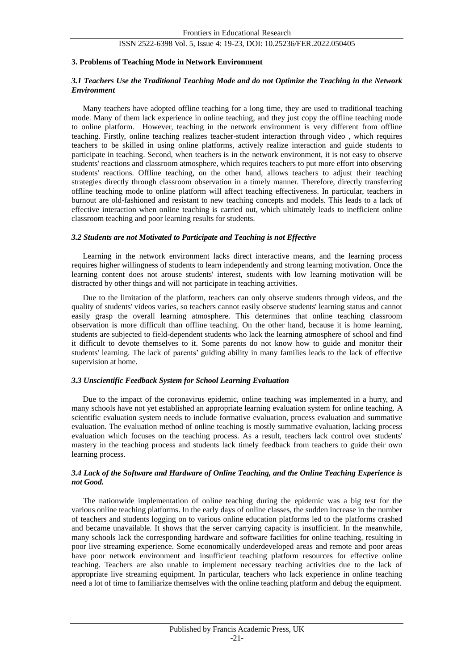#### **3. Problems of Teaching Mode in Network Environment**

#### *3.1 Teachers Use the Traditional Teaching Mode and do not Optimize the Teaching in the Network Environment*

Many teachers have adopted offline teaching for a long time, they are used to traditional teaching mode. Many of them lack experience in online teaching, and they just copy the offline teaching mode to online platform. However, teaching in the network environment is very different from offline teaching. Firstly, online teaching realizes teacher-student interaction through video , which requires teachers to be skilled in using online platforms, actively realize interaction and guide students to participate in teaching. Second, when teachers is in the network environment, it is not easy to observe students' reactions and classroom atmosphere, which requires teachers to put more effort into observing students' reactions. Offline teaching, on the other hand, allows teachers to adjust their teaching strategies directly through classroom observation in a timely manner. Therefore, directly transferring offline teaching mode to online platform will affect teaching effectiveness. In particular, teachers in burnout are old-fashioned and resistant to new teaching concepts and models. This leads to a lack of effective interaction when online teaching is carried out, which ultimately leads to inefficient online classroom teaching and poor learning results for students.

#### *3.2 Students are not Motivated to Participate and Teaching is not Effective*

Learning in the network environment lacks direct interactive means, and the learning process requires higher willingness of students to learn independently and strong learning motivation. Once the learning content does not arouse students' interest, students with low learning motivation will be distracted by other things and will not participate in teaching activities.

Due to the limitation of the platform, teachers can only observe students through videos, and the quality of students' videos varies, so teachers cannot easily observe students' learning status and cannot easily grasp the overall learning atmosphere. This determines that online teaching classroom observation is more difficult than offline teaching. On the other hand, because it is home learning, students are subjected to field-dependent students who lack the learning atmosphere of school and find it difficult to devote themselves to it. Some parents do not know how to guide and monitor their students' learning. The lack of parents' guiding ability in many families leads to the lack of effective supervision at home.

#### *3.3 Unscientific Feedback System for School Learning Evaluation*

Due to the impact of the coronavirus epidemic, online teaching was implemented in a hurry, and many schools have not yet established an appropriate learning evaluation system for online teaching. A scientific evaluation system needs to include formative evaluation, process evaluation and summative evaluation. The evaluation method of online teaching is mostly summative evaluation, lacking process evaluation which focuses on the teaching process. As a result, teachers lack control over students' mastery in the teaching process and students lack timely feedback from teachers to guide their own learning process.

#### *3.4 Lack of the Software and Hardware of Online Teaching, and the Online Teaching Experience is not Good.*

The nationwide implementation of online teaching during the epidemic was a big test for the various online teaching platforms. In the early days of online classes, the sudden increase in the number of teachers and students logging on to various online education platforms led to the platforms crashed and became unavailable. It shows that the server carrying capacity is insufficient. In the meanwhile, many schools lack the corresponding hardware and software facilities for online teaching, resulting in poor live streaming experience. Some economically underdeveloped areas and remote and poor areas have poor network environment and insufficient teaching platform resources for effective online teaching. Teachers are also unable to implement necessary teaching activities due to the lack of appropriate live streaming equipment. In particular, teachers who lack experience in online teaching need a lot of time to familiarize themselves with the online teaching platform and debug the equipment.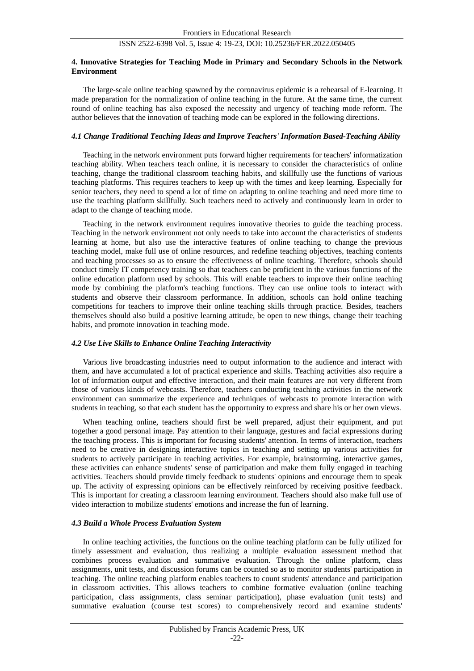#### **4. Innovative Strategies for Teaching Mode in Primary and Secondary Schools in the Network Environment**

The large-scale online teaching spawned by the coronavirus epidemic is a rehearsal of E-learning. It made preparation for the normalization of online teaching in the future. At the same time, the current round of online teaching has also exposed the necessity and urgency of teaching mode reform. The author believes that the innovation of teaching mode can be explored in the following directions.

#### *4.1 Change Traditional Teaching Ideas and Improve Teachers' Information Based-Teaching Ability*

Teaching in the network environment puts forward higher requirements for teachers' informatization teaching ability. When teachers teach online, it is necessary to consider the characteristics of online teaching, change the traditional classroom teaching habits, and skillfully use the functions of various teaching platforms. This requires teachers to keep up with the times and keep learning. Especially for senior teachers, they need to spend a lot of time on adapting to online teaching and need more time to use the teaching platform skillfully. Such teachers need to actively and continuously learn in order to adapt to the change of teaching mode.

Teaching in the network environment requires innovative theories to guide the teaching process. Teaching in the network environment not only needs to take into account the characteristics of students learning at home, but also use the interactive features of online teaching to change the previous teaching model, make full use of online resources, and redefine teaching objectives, teaching contents and teaching processes so as to ensure the effectiveness of online teaching. Therefore, schools should conduct timely IT competency training so that teachers can be proficient in the various functions of the online education platform used by schools. This will enable teachers to improve their online teaching mode by combining the platform's teaching functions. They can use online tools to interact with students and observe their classroom performance. In addition, schools can hold online teaching competitions for teachers to improve their online teaching skills through practice. Besides, teachers themselves should also build a positive learning attitude, be open to new things, change their teaching habits, and promote innovation in teaching mode.

#### *4.2 Use Live Skills to Enhance Online Teaching Interactivity*

Various live broadcasting industries need to output information to the audience and interact with them, and have accumulated a lot of practical experience and skills. Teaching activities also require a lot of information output and effective interaction, and their main features are not very different from those of various kinds of webcasts. Therefore, teachers conducting teaching activities in the network environment can summarize the experience and techniques of webcasts to promote interaction with students in teaching, so that each student has the opportunity to express and share his or her own views.

When teaching online, teachers should first be well prepared, adjust their equipment, and put together a good personal image. Pay attention to their language, gestures and facial expressions during the teaching process. This is important for focusing students' attention. In terms of interaction, teachers need to be creative in designing interactive topics in teaching and setting up various activities for students to actively participate in teaching activities. For example, brainstorming, interactive games, these activities can enhance students' sense of participation and make them fully engaged in teaching activities. Teachers should provide timely feedback to students' opinions and encourage them to speak up. The activity of expressing opinions can be effectively reinforced by receiving positive feedback. This is important for creating a classroom learning environment. Teachers should also make full use of video interaction to mobilize students' emotions and increase the fun of learning.

#### *4.3 Build a Whole Process Evaluation System*

In online teaching activities, the functions on the online teaching platform can be fully utilized for timely assessment and evaluation, thus realizing a multiple evaluation assessment method that combines process evaluation and summative evaluation. Through the online platform, class assignments, unit tests, and discussion forums can be counted so as to monitor students' participation in teaching. The online teaching platform enables teachers to count students' attendance and participation in classroom activities. This allows teachers to combine formative evaluation (online teaching participation, class assignments, class seminar participation), phase evaluation (unit tests) and summative evaluation (course test scores) to comprehensively record and examine students'